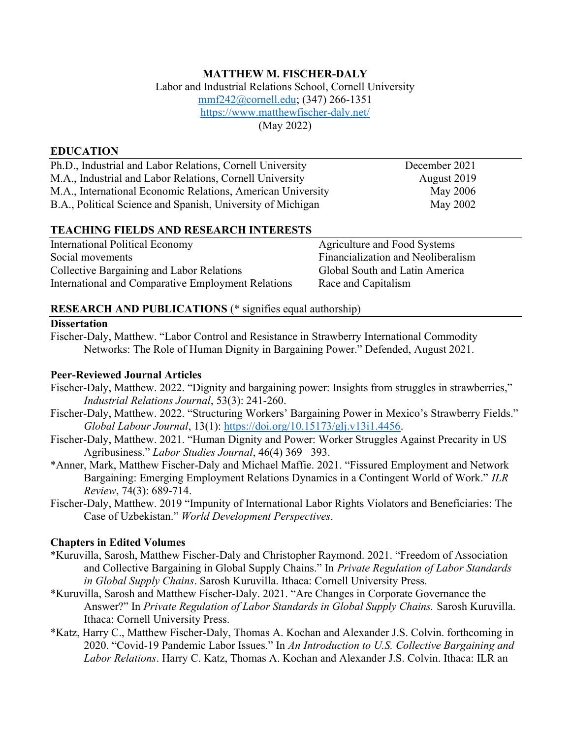# MATTHEW M. FISCHER-DALY

Labor and Industrial Relations School, Cornell University mmf242@cornell.edu; (347) 266-1351 https://www.matthewfischer-daly.net/ (May 2022)

#### EDUCATION

Ph.D., Industrial and Labor Relations, Cornell University December 2021 M.A., Industrial and Labor Relations, Cornell University August 2019 M.A., International Economic Relations, American University May 2006 B.A., Political Science and Spanish, University of Michigan May 2002

#### TEACHING FIELDS AND RESEARCH INTERESTS

| International Political Economy                    | Agriculture and Food Systems       |
|----------------------------------------------------|------------------------------------|
| Social movements                                   | Financialization and Neoliberalism |
| Collective Bargaining and Labor Relations          | Global South and Latin America     |
| International and Comparative Employment Relations | Race and Capitalism                |

#### RESEARCH AND PUBLICATIONS (\* signifies equal authorship)

#### **Dissertation**

Fischer-Daly, Matthew. "Labor Control and Resistance in Strawberry International Commodity Networks: The Role of Human Dignity in Bargaining Power." Defended, August 2021.

#### Peer-Reviewed Journal Articles

- Fischer-Daly, Matthew. 2022. "Dignity and bargaining power: Insights from struggles in strawberries," Industrial Relations Journal, 53(3): 241-260.
- Fischer-Daly, Matthew. 2022. "Structuring Workers' Bargaining Power in Mexico's Strawberry Fields." Global Labour Journal, 13(1): https://doi.org/10.15173/glj.v13i1.4456.
- Fischer-Daly, Matthew. 2021. "Human Dignity and Power: Worker Struggles Against Precarity in US Agribusiness." Labor Studies Journal, 46(4) 369– 393.
- \*Anner, Mark, Matthew Fischer-Daly and Michael Maffie. 2021. "Fissured Employment and Network Bargaining: Emerging Employment Relations Dynamics in a Contingent World of Work." ILR Review, 74(3): 689-714.
- Fischer-Daly, Matthew. 2019 "Impunity of International Labor Rights Violators and Beneficiaries: The Case of Uzbekistan." World Development Perspectives.

#### Chapters in Edited Volumes

- \*Kuruvilla, Sarosh, Matthew Fischer-Daly and Christopher Raymond. 2021. "Freedom of Association and Collective Bargaining in Global Supply Chains." In Private Regulation of Labor Standards in Global Supply Chains. Sarosh Kuruvilla. Ithaca: Cornell University Press.
- \*Kuruvilla, Sarosh and Matthew Fischer-Daly. 2021. "Are Changes in Corporate Governance the Answer?" In Private Regulation of Labor Standards in Global Supply Chains. Sarosh Kuruvilla. Ithaca: Cornell University Press.
- \*Katz, Harry C., Matthew Fischer-Daly, Thomas A. Kochan and Alexander J.S. Colvin. forthcoming in 2020. "Covid-19 Pandemic Labor Issues." In An Introduction to U.S. Collective Bargaining and Labor Relations. Harry C. Katz, Thomas A. Kochan and Alexander J.S. Colvin. Ithaca: ILR an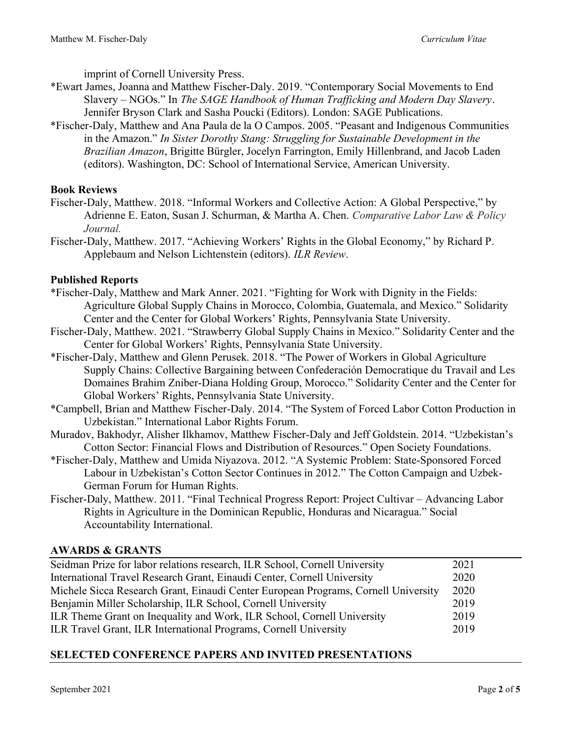imprint of Cornell University Press.

- \*Ewart James, Joanna and Matthew Fischer-Daly. 2019. "Contemporary Social Movements to End Slavery – NGOs." In The SAGE Handbook of Human Trafficking and Modern Day Slavery. Jennifer Bryson Clark and Sasha Poucki (Editors). London: SAGE Publications.
- \*Fischer-Daly, Matthew and Ana Paula de la O Campos. 2005. "Peasant and Indigenous Communities in the Amazon." In Sister Dorothy Stang: Struggling for Sustainable Development in the Brazilian Amazon, Brigitte Bürgler, Jocelyn Farrington, Emily Hillenbrand, and Jacob Laden (editors). Washington, DC: School of International Service, American University.

## Book Reviews

- Fischer-Daly, Matthew. 2018. "Informal Workers and Collective Action: A Global Perspective," by Adrienne E. Eaton, Susan J. Schurman, & Martha A. Chen. Comparative Labor Law & Policy Journal.
- Fischer-Daly, Matthew. 2017. "Achieving Workers' Rights in the Global Economy," by Richard P. Applebaum and Nelson Lichtenstein (editors). ILR Review.

## Published Reports

- \*Fischer-Daly, Matthew and Mark Anner. 2021. "Fighting for Work with Dignity in the Fields: Agriculture Global Supply Chains in Morocco, Colombia, Guatemala, and Mexico." Solidarity Center and the Center for Global Workers' Rights, Pennsylvania State University.
- Fischer-Daly, Matthew. 2021. "Strawberry Global Supply Chains in Mexico." Solidarity Center and the Center for Global Workers' Rights, Pennsylvania State University.
- \*Fischer-Daly, Matthew and Glenn Perusek. 2018. "The Power of Workers in Global Agriculture Supply Chains: Collective Bargaining between Confederación Democratique du Travail and Les Domaines Brahim Zniber-Diana Holding Group, Morocco." Solidarity Center and the Center for Global Workers' Rights, Pennsylvania State University.
- \*Campbell, Brian and Matthew Fischer-Daly. 2014. "The System of Forced Labor Cotton Production in Uzbekistan." International Labor Rights Forum.
- Muradov, Bakhodyr, Alisher Ilkhamov, Matthew Fischer-Daly and Jeff Goldstein. 2014. "Uzbekistan's Cotton Sector: Financial Flows and Distribution of Resources." Open Society Foundations.
- \*Fischer-Daly, Matthew and Umida Niyazova. 2012. "A Systemic Problem: State-Sponsored Forced Labour in Uzbekistan's Cotton Sector Continues in 2012." The Cotton Campaign and Uzbek-German Forum for Human Rights.
- Fischer-Daly, Matthew. 2011. "Final Technical Progress Report: Project Cultivar Advancing Labor Rights in Agriculture in the Dominican Republic, Honduras and Nicaragua." Social Accountability International.

#### AWARDS & GRANTS

| Seidman Prize for labor relations research, ILR School, Cornell University         | 2021 |
|------------------------------------------------------------------------------------|------|
| International Travel Research Grant, Einaudi Center, Cornell University            | 2020 |
| Michele Sicca Research Grant, Einaudi Center European Programs, Cornell University | 2020 |
| Benjamin Miller Scholarship, ILR School, Cornell University                        | 2019 |
| ILR Theme Grant on Inequality and Work, ILR School, Cornell University             | 2019 |
| ILR Travel Grant, ILR International Programs, Cornell University                   | 2019 |

## SELECTED CONFERENCE PAPERS AND INVITED PRESENTATIONS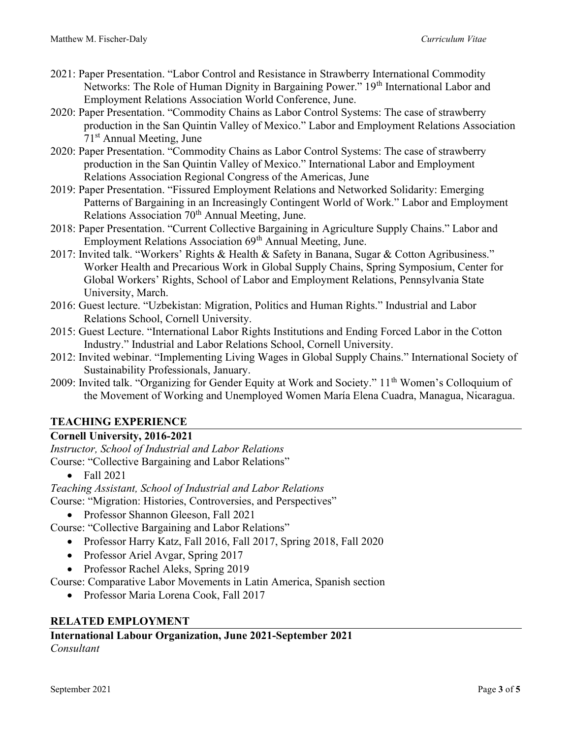- 2021: Paper Presentation. "Labor Control and Resistance in Strawberry International Commodity Networks: The Role of Human Dignity in Bargaining Power." 19<sup>th</sup> International Labor and Employment Relations Association World Conference, June.
- 2020: Paper Presentation. "Commodity Chains as Labor Control Systems: The case of strawberry production in the San Quintin Valley of Mexico." Labor and Employment Relations Association 71st Annual Meeting, June
- 2020: Paper Presentation. "Commodity Chains as Labor Control Systems: The case of strawberry production in the San Quintin Valley of Mexico." International Labor and Employment Relations Association Regional Congress of the Americas, June
- 2019: Paper Presentation. "Fissured Employment Relations and Networked Solidarity: Emerging Patterns of Bargaining in an Increasingly Contingent World of Work." Labor and Employment Relations Association  $70<sup>th</sup>$  Annual Meeting, June.
- 2018: Paper Presentation. "Current Collective Bargaining in Agriculture Supply Chains." Labor and Employment Relations Association 69<sup>th</sup> Annual Meeting, June.
- 2017: Invited talk. "Workers' Rights & Health & Safety in Banana, Sugar & Cotton Agribusiness." Worker Health and Precarious Work in Global Supply Chains, Spring Symposium, Center for Global Workers' Rights, School of Labor and Employment Relations, Pennsylvania State University, March.
- 2016: Guest lecture. "Uzbekistan: Migration, Politics and Human Rights." Industrial and Labor Relations School, Cornell University.
- 2015: Guest Lecture. "International Labor Rights Institutions and Ending Forced Labor in the Cotton Industry." Industrial and Labor Relations School, Cornell University.
- 2012: Invited webinar. "Implementing Living Wages in Global Supply Chains." International Society of Sustainability Professionals, January.
- 2009: Invited talk. "Organizing for Gender Equity at Work and Society." 11<sup>th</sup> Women's Colloquium of the Movement of Working and Unemployed Women María Elena Cuadra, Managua, Nicaragua.

## TEACHING EXPERIENCE

## Cornell University, 2016-2021

Instructor, School of Industrial and Labor Relations Course: "Collective Bargaining and Labor Relations"

 $\bullet$  Fall 2021

Teaching Assistant, School of Industrial and Labor Relations Course: "Migration: Histories, Controversies, and Perspectives"

• Professor Shannon Gleeson, Fall 2021

Course: "Collective Bargaining and Labor Relations"

- Professor Harry Katz, Fall 2016, Fall 2017, Spring 2018, Fall 2020
- Professor Ariel Avgar, Spring 2017
- Professor Rachel Aleks, Spring 2019

Course: Comparative Labor Movements in Latin America, Spanish section

Professor Maria Lorena Cook, Fall 2017

## RELATED EMPLOYMENT

International Labour Organization, June 2021-September 2021 Consultant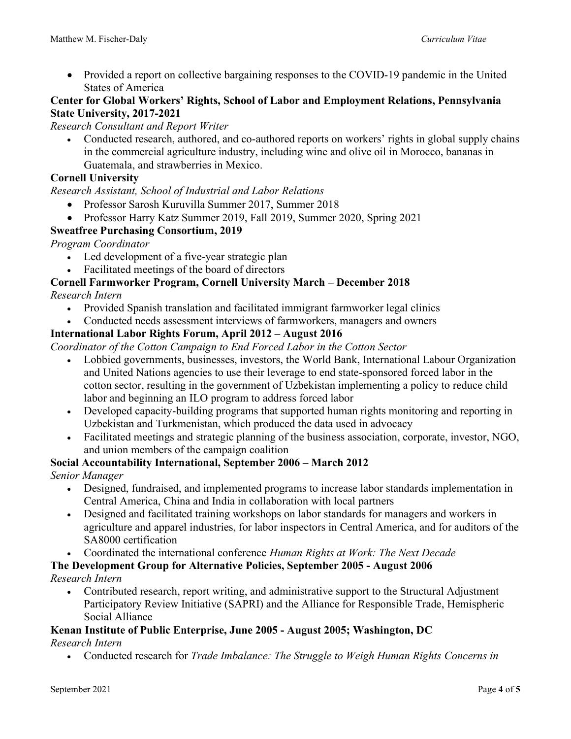• Provided a report on collective bargaining responses to the COVID-19 pandemic in the United States of America

## Center for Global Workers' Rights, School of Labor and Employment Relations, Pennsylvania State University, 2017-2021

#### Research Consultant and Report Writer

• Conducted research, authored, and co-authored reports on workers' rights in global supply chains in the commercial agriculture industry, including wine and olive oil in Morocco, bananas in Guatemala, and strawberries in Mexico.

## Cornell University

Research Assistant, School of Industrial and Labor Relations

- Professor Sarosh Kuruvilla Summer 2017, Summer 2018
- Professor Harry Katz Summer 2019, Fall 2019, Summer 2020, Spring 2021

## Sweatfree Purchasing Consortium, 2019

Program Coordinator

- Led development of a five-year strategic plan
- Facilitated meetings of the board of directors

# Cornell Farmworker Program, Cornell University March – December 2018

Research Intern

- Provided Spanish translation and facilitated immigrant farmworker legal clinics
- Conducted needs assessment interviews of farmworkers, managers and owners

## International Labor Rights Forum, April 2012 – August 2016

Coordinator of the Cotton Campaign to End Forced Labor in the Cotton Sector

- Lobbied governments, businesses, investors, the World Bank, International Labour Organization and United Nations agencies to use their leverage to end state-sponsored forced labor in the cotton sector, resulting in the government of Uzbekistan implementing a policy to reduce child labor and beginning an ILO program to address forced labor
- Developed capacity-building programs that supported human rights monitoring and reporting in Uzbekistan and Turkmenistan, which produced the data used in advocacy
- Facilitated meetings and strategic planning of the business association, corporate, investor, NGO, and union members of the campaign coalition

#### Social Accountability International, September 2006 – March 2012

Senior Manager

- Designed, fundraised, and implemented programs to increase labor standards implementation in Central America, China and India in collaboration with local partners
- Designed and facilitated training workshops on labor standards for managers and workers in agriculture and apparel industries, for labor inspectors in Central America, and for auditors of the SA8000 certification
- Coordinated the international conference Human Rights at Work: The Next Decade

The Development Group for Alternative Policies, September 2005 - August 2006 Research Intern

 Contributed research, report writing, and administrative support to the Structural Adjustment Participatory Review Initiative (SAPRI) and the Alliance for Responsible Trade, Hemispheric Social Alliance

#### Kenan Institute of Public Enterprise, June 2005 - August 2005; Washington, DC

#### Research Intern

• Conducted research for Trade Imbalance: The Struggle to Weigh Human Rights Concerns in